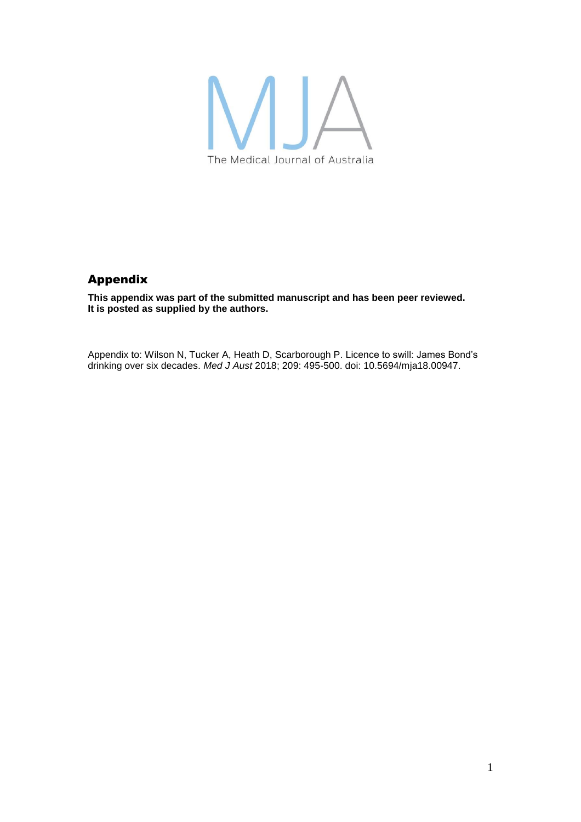

## Appendix

**This appendix was part of the submitted manuscript and has been peer reviewed. It is posted as supplied by the authors.**

Appendix to: Wilson N, Tucker A, Heath D, Scarborough P. Licence to swill: James Bond's drinking over six decades. *Med J Aust* 2018; 209: 495-500. doi: 10.5694/mja18.00947.